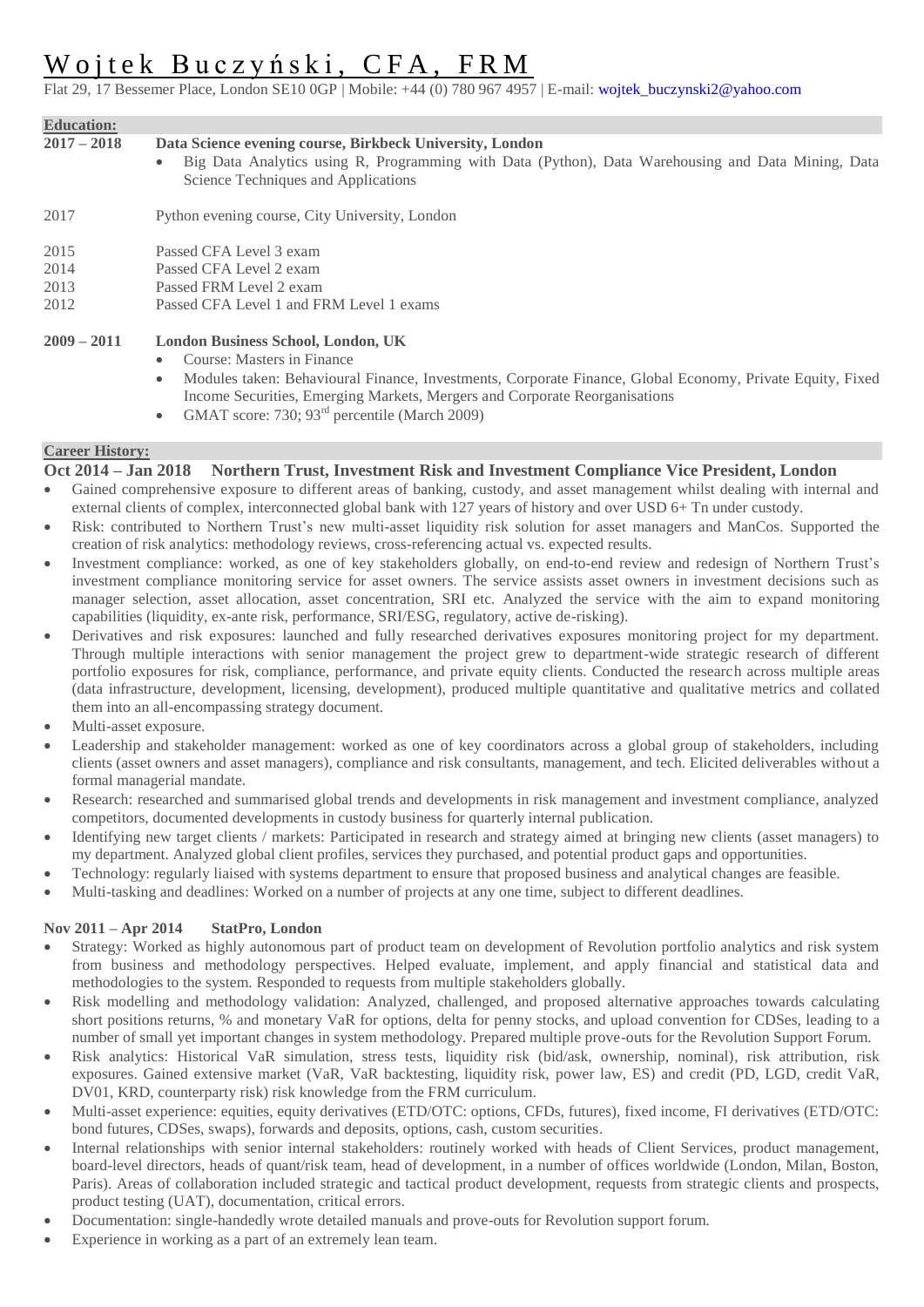# Woitek Buczyński, CFA, FRM

Flat 29, 17 Bessemer Place, London SE10 0GP | Mobile: +44 (0) 780 967 4957 | E-mail: wojtek\_buczynski2@yahoo.com

| <b>Education:</b> |                                                                                                                                                                                                                    |
|-------------------|--------------------------------------------------------------------------------------------------------------------------------------------------------------------------------------------------------------------|
| $2017 - 2018$     | Data Science evening course, Birkbeck University, London<br>Big Data Analytics using R, Programming with Data (Python), Data Warehousing and Data Mining, Data<br>$\bullet$<br>Science Techniques and Applications |
| 2017              | Python evening course, City University, London                                                                                                                                                                     |
| 2015              | Passed CFA Level 3 exam                                                                                                                                                                                            |
| 2014              | Passed CFA Level 2 exam                                                                                                                                                                                            |
| 2013              | Passed FRM Level 2 exam                                                                                                                                                                                            |
| 2012              | Passed CFA Level 1 and FRM Level 1 exams                                                                                                                                                                           |
| $2009 - 2011$     | <b>London Business School, London, UK</b>                                                                                                                                                                          |
|                   | Course: Masters in Finance<br>$\bullet$                                                                                                                                                                            |
|                   | Modules taken: Behavioural Finance, Investments, Corporate Finance, Global Economy, Private Equity, Fixed<br>$\bullet$                                                                                             |
|                   | Income Securities, Emerging Markets, Mergers and Corporate Reorganisations                                                                                                                                         |
|                   | $\sim$ CMAT seems: 720: 02 <sup>rd</sup> persentile (Moreh 2000)                                                                                                                                                   |

GMAT score: 730; 93<sup>rd</sup> percentile (March 2009)

## **Career History:**

# **Oct 2014 – Jan 2018 Northern Trust, Investment Risk and Investment Compliance Vice President, London**

- Gained comprehensive exposure to different areas of banking, custody, and asset management whilst dealing with internal and external clients of complex, interconnected global bank with 127 years of history and over USD 6+ Tn under custody.
- Risk: contributed to Northern Trust's new multi-asset liquidity risk solution for asset managers and ManCos. Supported the creation of risk analytics: methodology reviews, cross-referencing actual vs. expected results.
- Investment compliance: worked, as one of key stakeholders globally, on end-to-end review and redesign of Northern Trust's investment compliance monitoring service for asset owners. The service assists asset owners in investment decisions such as manager selection, asset allocation, asset concentration, SRI etc. Analyzed the service with the aim to expand monitoring capabilities (liquidity, ex-ante risk, performance, SRI/ESG, regulatory, active de-risking).
- Derivatives and risk exposures: launched and fully researched derivatives exposures monitoring project for my department. Through multiple interactions with senior management the project grew to department-wide strategic research of different portfolio exposures for risk, compliance, performance, and private equity clients. Conducted the research across multiple areas (data infrastructure, development, licensing, development), produced multiple quantitative and qualitative metrics and collated them into an all-encompassing strategy document.
- Multi-asset exposure.
- Leadership and stakeholder management: worked as one of key coordinators across a global group of stakeholders, including clients (asset owners and asset managers), compliance and risk consultants, management, and tech. Elicited deliverables without a formal managerial mandate.
- Research: researched and summarised global trends and developments in risk management and investment compliance, analyzed competitors, documented developments in custody business for quarterly internal publication.
- Identifying new target clients / markets: Participated in research and strategy aimed at bringing new clients (asset managers) to my department. Analyzed global client profiles, services they purchased, and potential product gaps and opportunities.
- Technology: regularly liaised with systems department to ensure that proposed business and analytical changes are feasible.
- Multi-tasking and deadlines: Worked on a number of projects at any one time, subject to different deadlines.

## **Nov 2011 – Apr 2014 StatPro, London**

- Strategy: Worked as highly autonomous part of product team on development of Revolution portfolio analytics and risk system from business and methodology perspectives. Helped evaluate, implement, and apply financial and statistical data and methodologies to the system. Responded to requests from multiple stakeholders globally.
- Risk modelling and methodology validation: Analyzed, challenged, and proposed alternative approaches towards calculating short positions returns, % and monetary VaR for options, delta for penny stocks, and upload convention for CDSes, leading to a number of small yet important changes in system methodology. Prepared multiple prove-outs for the Revolution Support Forum.
- Risk analytics: Historical VaR simulation, stress tests, liquidity risk (bid/ask, ownership, nominal), risk attribution, risk exposures. Gained extensive market (VaR, VaR backtesting, liquidity risk, power law, ES) and credit (PD, LGD, credit VaR, DV01, KRD, counterparty risk) risk knowledge from the FRM curriculum.
- Multi-asset experience: equities, equity derivatives (ETD/OTC: options, CFDs, futures), fixed income, FI derivatives (ETD/OTC: bond futures, CDSes, swaps), forwards and deposits, options, cash, custom securities.
- Internal relationships with senior internal stakeholders: routinely worked with heads of Client Services, product management, board-level directors, heads of quant/risk team, head of development, in a number of offices worldwide (London, Milan, Boston, Paris). Areas of collaboration included strategic and tactical product development, requests from strategic clients and prospects, product testing (UAT), documentation, critical errors.
- Documentation: single-handedly wrote detailed manuals and prove-outs for Revolution support forum.
- Experience in working as a part of an extremely lean team.